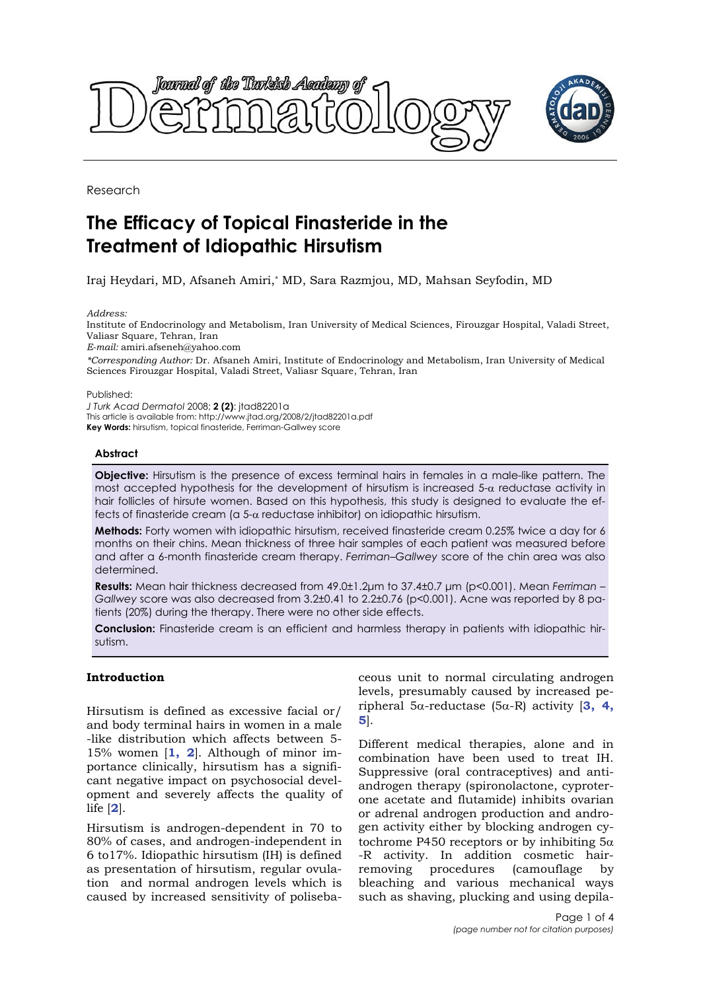

Research

# **The Efficacy of Topical Finasteride in the Treatment of Idiopathic Hirsutism**

Iraj Heydari, MD, Afsaneh Amiri,\* MD, Sara Razmjou, MD, Mahsan Seyfodin, MD

*Address:* 

Institute of Endocrinology and Metabolism, Iran University of Medical Sciences, Firouzgar Hospital, Valadi Street, Valiasr Square, Tehran, Iran

*E-mail:* amiri.afseneh@yahoo.com

*\*Corresponding Author:* Dr. Afsaneh Amiri, Institute of Endocrinology and Metabolism, Iran University of Medical Sciences Firouzgar Hospital, Valadi Street, Valiasr Square, Tehran, Iran

Published:

*J Turk Acad Dermatol* 2008; **2 (2)**: jtad82201a This article is available from: http://www.jtad.org/2008/2/jtad82201a.pdf **Key Words:** hirsutism, topical finasteride, Ferriman-Gallwey score

## **Abstract**

**Objective:** Hirsutism is the presence of excess terminal hairs in females in a male-like pattern. The most accepted hypothesis for the development of hirsutism is increased  $5-\alpha$  reductase activity in hair follicles of hirsute women. Based on this hypothesis, this study is designed to evaluate the effects of finasteride cream (a 5-α reductase inhibitor) on idiopathic hirsutism.

**Methods:** Forty women with idiopathic hirsutism, received finasteride cream 0.25% twice a day for 6 months on their chins. Mean thickness of three hair samples of each patient was measured before and after a 6-month finasteride cream therapy. *Ferriman–Gallwey* score of the chin area was also determined.

**Results:** Mean hair thickness decreased from 49.0±1.2μm to 37.4±0.7 μm (p<0.001). Mean *Ferriman* – *Gallwey* score was also decreased from 3.2±0.41 to 2.2±0.76 (p<0.001). Acne was reported by 8 patients (20%) during the therapy. There were no other side effects.

**Conclusion:** Finasteride cream is an efficient and harmless therapy in patients with idiopathic hirsutism.

# **Introduction**

Hirsutism is defined as excessive facial or/ and body terminal hairs in women in a male -like distribution which affects between 5- 15% women [**1, 2**]. Although of minor importance clinically, hirsutism has a significant negative impact on psychosocial development and severely affects the quality of life [**2**].

Hirsutism is androgen-dependent in 70 to 80% of cases, and androgen-independent in 6 to17%. Idiopathic hirsutism (IH) is defined as presentation of hirsutism, regular ovulation and normal androgen levels which is caused by increased sensitivity of polisebaceous unit to normal circulating androgen levels, presumably caused by increased peripheral 5α-reductase (5α-R) activity [**3, 4, 5**].

Different medical therapies, alone and in combination have been used to treat IH. Suppressive (oral contraceptives) and antiandrogen therapy (spironolactone, cyproterone acetate and flutamide) inhibits ovarian or adrenal androgen production and androgen activity either by blocking androgen cytochrome P450 receptors or by inhibiting  $5\alpha$ -R activity. In addition cosmetic hairremoving procedures (camouflage by bleaching and various mechanical ways such as shaving, plucking and using depila-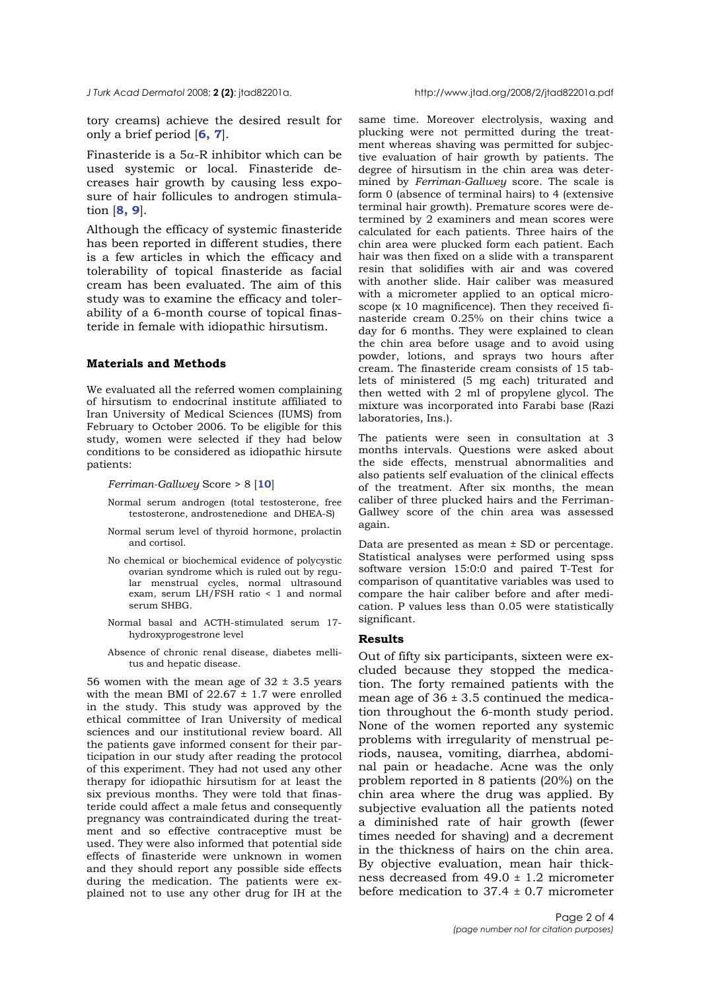tory creams) achieve the desired result for only a brief period [**6, 7**].

Finasteride is a  $5\alpha$ -R inhibitor which can be used systemic or local. Finasteride decreases hair growth by causing less exposure of hair follicules to androgen stimulation [**8, 9**].

Although the efficacy of systemic finasteride has been reported in different studies, there is a few articles in which the efficacy and tolerability of topical finasteride as facial cream has been evaluated. The aim of this study was to examine the efficacy and tolerability of a 6-month course of topical finasteride in female with idiopathic hirsutism.

#### **Materials and Methods**

We evaluated all the referred women complaining of hirsutism to endocrinal institute affiliated to Iran University of Medical Sciences (IUMS) from February to October 2006. To be eligible for this study, women were selected if they had below conditions to be considered as idiopathic hirsute patients:

*Ferriman-Gallwey* Score > 8 [**10**]

- Normal serum androgen (total testosterone, free testosterone, androstenedione and DHEA-S)
- Normal serum level of thyroid hormone, prolactin and cortisol.
- No chemical or biochemical evidence of polycystic ovarian syndrome which is ruled out by regular menstrual cycles, normal ultrasound exam, serum LH/FSH ratio < 1 and normal serum SHBG.
- Normal basal and ACTH-stimulated serum 17 hydroxyprogestrone level
- Absence of chronic renal disease, diabetes mellitus and hepatic disease.

56 women with the mean age of  $32 \pm 3.5$  years with the mean BMI of  $22.67 \pm 1.7$  were enrolled in the study. This study was approved by the ethical committee of Iran University of medical sciences and our institutional review board. All the patients gave informed consent for their participation in our study after reading the protocol of this experiment. They had not used any other therapy for idiopathic hirsutism for at least the six previous months. They were told that finasteride could affect a male fetus and consequently pregnancy was contraindicated during the treatment and so effective contraceptive must be used. They were also informed that potential side effects of finasteride were unknown in women and they should report any possible side effects during the medication. The patients were explained not to use any other drug for IH at the

same time. Moreover electrolysis, waxing and plucking were not permitted during the treatment whereas shaving was permitted for subjective evaluation of hair growth by patients. The degree of hirsutism in the chin area was determined by *Ferriman-Gallwey* score. The scale is form 0 (absence of terminal hairs) to 4 (extensive terminal hair growth). Premature scores were determined by 2 examiners and mean scores were calculated for each patients. Three hairs of the chin area were plucked form each patient. Each hair was then fixed on a slide with a transparent resin that solidifies with air and was covered with another slide. Hair caliber was measured with a micrometer applied to an optical microscope (x 10 magnificence). Then they received finasteride cream 0.25% on their chins twice a day for 6 months. They were explained to clean the chin area before usage and to avoid using powder, lotions, and sprays two hours after cream. The finasteride cream consists of 15 tablets of ministered (5 mg each) triturated and then wetted with 2 ml of propylene glycol. The mixture was incorporated into Farabi base (Razi laboratories, Ins.).

The patients were seen in consultation at 3 months intervals. Questions were asked about the side effects, menstrual abnormalities and also patients self evaluation of the clinical effects of the treatment. After six months, the mean caliber of three plucked hairs and the Ferriman-Gallwey score of the chin area was assessed again.

Data are presented as mean ± SD or percentage. Statistical analyses were performed using spss software version 15:0:0 and paired T-Test for comparison of quantitative variables was used to compare the hair caliber before and after medication. P values less than 0.05 were statistically significant.

### **Results**

Out of fifty six participants, sixteen were excluded because they stopped the medication. The forty remained patients with the mean age of  $36 \pm 3.5$  continued the medication throughout the 6-month study period. None of the women reported any systemic problems with irregularity of menstrual periods, nausea, vomiting, diarrhea, abdominal pain or headache. Acne was the only problem reported in 8 patients (20%) on the chin area where the drug was applied. By subjective evaluation all the patients noted a diminished rate of hair growth (fewer times needed for shaving) and a decrement in the thickness of hairs on the chin area. By objective evaluation, mean hair thickness decreased from 49.0 ± 1.2 micrometer before medication to  $37.4 \pm 0.7$  micrometer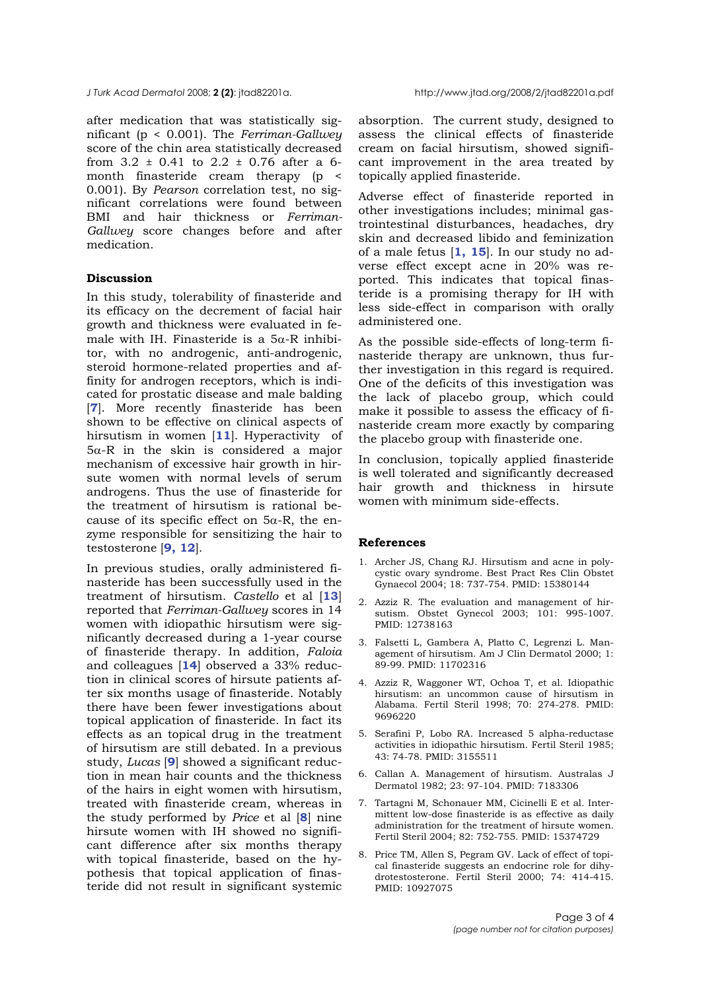#### *J Turk Acad Dermatol* 2008; **2 (2)**: jtad82201a. http://www.jtad.org/2008/2/jtad82201a.pdf

after medication that was statistically significant (p < 0.001). The *Ferriman-Gallwey* score of the chin area statistically decreased from  $3.2 \pm 0.41$  to  $2.2 \pm 0.76$  after a 6month finasteride cream therapy (p < 0.001). By *Pearson* correlation test, no significant correlations were found between BMI and hair thickness or *Ferriman-Gallwey* score changes before and after medication.

# **Discussion**

In this study, tolerability of finasteride and its efficacy on the decrement of facial hair growth and thickness were evaluated in female with IH. Finasteride is a  $5\alpha$ -R inhibitor, with no androgenic, anti-androgenic, steroid hormone-related properties and affinity for androgen receptors, which is indicated for prostatic disease and male balding [**7**]. More recently finasteride has been shown to be effective on clinical aspects of hirsutism in women [**11**]. Hyperactivity of 5α-R in the skin is considered a major mechanism of excessive hair growth in hirsute women with normal levels of serum androgens. Thus the use of finasteride for the treatment of hirsutism is rational because of its specific effect on  $5\alpha$ -R, the enzyme responsible for sensitizing the hair to testosterone [**9, 12**].

In previous studies, orally administered finasteride has been successfully used in the treatment of hirsutism. *Castello* et al [**13**] reported that *Ferriman-Gallwey* scores in 14 women with idiopathic hirsutism were significantly decreased during a 1-year course of finasteride therapy. In addition, *Faloia* and colleagues [**14**] observed a 33% reduction in clinical scores of hirsute patients after six months usage of finasteride. Notably there have been fewer investigations about topical application of finasteride. In fact its effects as an topical drug in the treatment of hirsutism are still debated. In a previous study, *Lucas* [**9**] showed a significant reduction in mean hair counts and the thickness of the hairs in eight women with hirsutism, treated with finasteride cream, whereas in the study performed by *Price* et al [**8**] nine hirsute women with IH showed no significant difference after six months therapy with topical finasteride, based on the hypothesis that topical application of finasteride did not result in significant systemic

absorption. The current study, designed to assess the clinical effects of finasteride cream on facial hirsutism, showed significant improvement in the area treated by topically applied finasteride.

Adverse effect of finasteride reported in other investigations includes; minimal gastrointestinal disturbances, headaches, dry skin and decreased libido and feminization of a male fetus [**1, 15**]. In our study no adverse effect except acne in 20% was reported. This indicates that topical finasteride is a promising therapy for IH with less side-effect in comparison with orally administered one.

As the possible side-effects of long-term finasteride therapy are unknown, thus further investigation in this regard is required. One of the deficits of this investigation was the lack of placebo group, which could make it possible to assess the efficacy of finasteride cream more exactly by comparing the placebo group with finasteride one.

In conclusion, topically applied finasteride is well tolerated and significantly decreased hair growth and thickness in hirsute women with minimum side-effects.

#### **References**

- 1. Archer JS, Chang RJ. Hirsutism and acne in polycystic ovary syndrome. Best Pract Res Clin Obstet Gynaecol 2004; 18: 737-754. PMID: 15380144
- 2. Azziz R. The evaluation and management of hirsutism. Obstet Gynecol 2003; 101: 995-1007. PMID: 12738163
- 3. Falsetti L, Gambera A, Platto C, Legrenzi L. Management of hirsutism. Am J Clin Dermatol 2000; 1: 89-99. PMID: 11702316
- 4. Azziz R, Waggoner WT, Ochoa T, et al. Idiopathic hirsutism: an uncommon cause of hirsutism in Alabama. Fertil Steril 1998; 70: 274-278. PMID: 9696220
- 5. Serafini P, Lobo RA. Increased 5 alpha-reductase activities in idiopathic hirsutism. Fertil Steril 1985; 43: 74-78. PMID: 3155511
- 6. Callan A. Management of hirsutism. Australas J Dermatol 1982; 23: 97-104. PMID: 7183306
- 7. Tartagni M, Schonauer MM, Cicinelli E et al. Intermittent low-dose finasteride is as effective as daily administration for the treatment of hirsute women. Fertil Steril 2004; 82: 752-755. PMID: 15374729
- 8. Price TM, Allen S, Pegram GV. Lack of effect of topical finasteride suggests an endocrine role for dihydrotestosterone. Fertil Steril 2000; 74: 414-415. PMID: 10927075